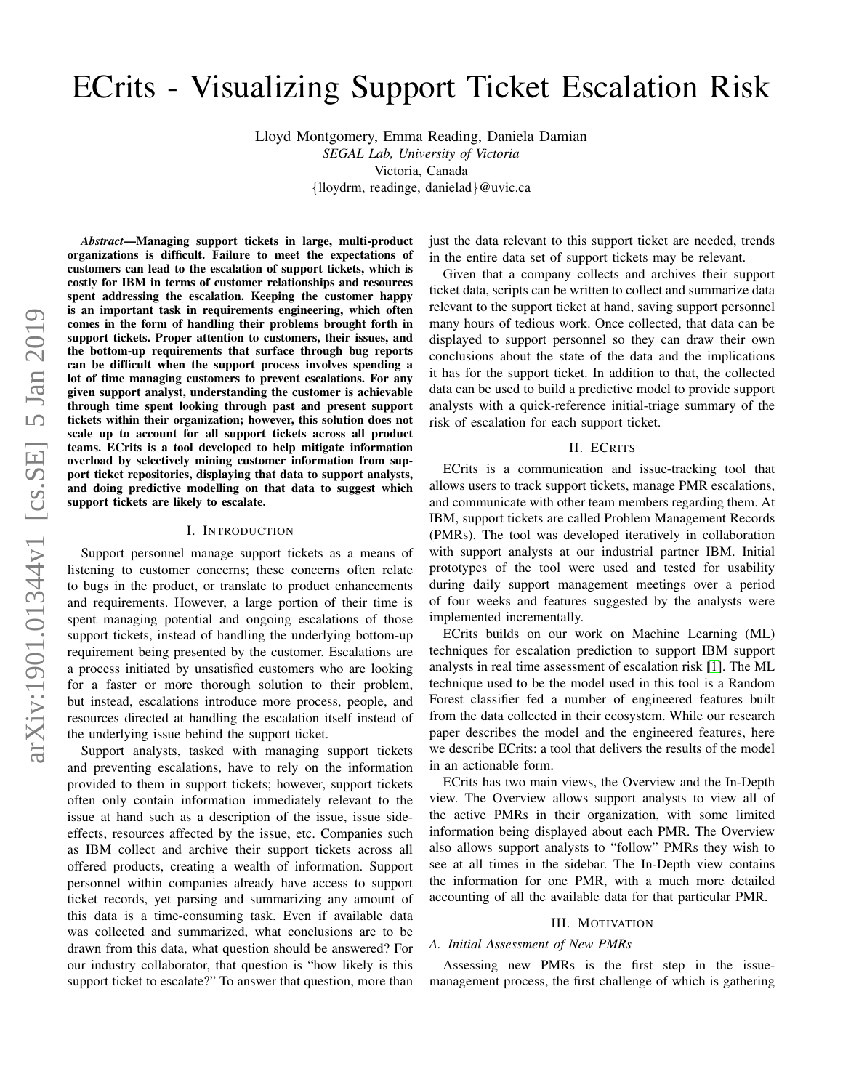# ECrits - Visualizing Support Ticket Escalation Risk

Lloyd Montgomery, Emma Reading, Daniela Damian

*SEGAL Lab, University of Victoria* Victoria, Canada {lloydrm, readinge, danielad}@uvic.ca

*Abstract*—Managing support tickets in large, multi-product organizations is difficult. Failure to meet the expectations of customers can lead to the escalation of support tickets, which is costly for IBM in terms of customer relationships and resources spent addressing the escalation. Keeping the customer happy is an important task in requirements engineering, which often comes in the form of handling their problems brought forth in support tickets. Proper attention to customers, their issues, and the bottom-up requirements that surface through bug reports can be difficult when the support process involves spending a lot of time managing customers to prevent escalations. For any given support analyst, understanding the customer is achievable through time spent looking through past and present support tickets within their organization; however, this solution does not scale up to account for all support tickets across all product teams. ECrits is a tool developed to help mitigate information overload by selectively mining customer information from support ticket repositories, displaying that data to support analysts, and doing predictive modelling on that data to suggest which support tickets are likely to escalate.

# I. INTRODUCTION

Support personnel manage support tickets as a means of listening to customer concerns; these concerns often relate to bugs in the product, or translate to product enhancements and requirements. However, a large portion of their time is spent managing potential and ongoing escalations of those support tickets, instead of handling the underlying bottom-up requirement being presented by the customer. Escalations are a process initiated by unsatisfied customers who are looking for a faster or more thorough solution to their problem, but instead, escalations introduce more process, people, and resources directed at handling the escalation itself instead of the underlying issue behind the support ticket.

Support analysts, tasked with managing support tickets and preventing escalations, have to rely on the information provided to them in support tickets; however, support tickets often only contain information immediately relevant to the issue at hand such as a description of the issue, issue sideeffects, resources affected by the issue, etc. Companies such as IBM collect and archive their support tickets across all offered products, creating a wealth of information. Support personnel within companies already have access to support ticket records, yet parsing and summarizing any amount of this data is a time-consuming task. Even if available data was collected and summarized, what conclusions are to be drawn from this data, what question should be answered? For our industry collaborator, that question is "how likely is this support ticket to escalate?" To answer that question, more than just the data relevant to this support ticket are needed, trends in the entire data set of support tickets may be relevant.

Given that a company collects and archives their support ticket data, scripts can be written to collect and summarize data relevant to the support ticket at hand, saving support personnel many hours of tedious work. Once collected, that data can be displayed to support personnel so they can draw their own conclusions about the state of the data and the implications it has for the support ticket. In addition to that, the collected data can be used to build a predictive model to provide support analysts with a quick-reference initial-triage summary of the risk of escalation for each support ticket.

## II. ECRITS

ECrits is a communication and issue-tracking tool that allows users to track support tickets, manage PMR escalations, and communicate with other team members regarding them. At IBM, support tickets are called Problem Management Records (PMRs). The tool was developed iteratively in collaboration with support analysts at our industrial partner IBM. Initial prototypes of the tool were used and tested for usability during daily support management meetings over a period of four weeks and features suggested by the analysts were implemented incrementally.

ECrits builds on our work on Machine Learning (ML) techniques for escalation prediction to support IBM support analysts in real time assessment of escalation risk [\[1\]](#page-1-0). The ML technique used to be the model used in this tool is a Random Forest classifier fed a number of engineered features built from the data collected in their ecosystem. While our research paper describes the model and the engineered features, here we describe ECrits: a tool that delivers the results of the model in an actionable form.

ECrits has two main views, the Overview and the In-Depth view. The Overview allows support analysts to view all of the active PMRs in their organization, with some limited information being displayed about each PMR. The Overview also allows support analysts to "follow" PMRs they wish to see at all times in the sidebar. The In-Depth view contains the information for one PMR, with a much more detailed accounting of all the available data for that particular PMR.

## III. MOTIVATION

# *A. Initial Assessment of New PMRs*

Assessing new PMRs is the first step in the issuemanagement process, the first challenge of which is gathering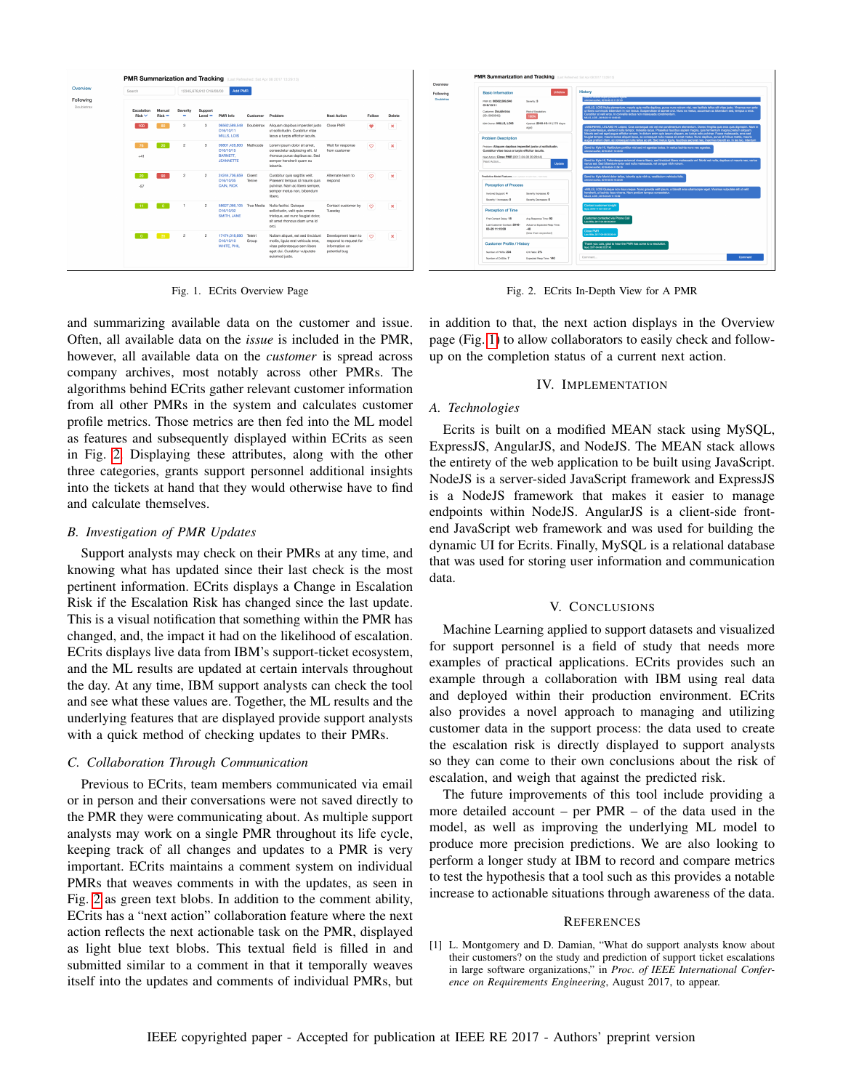

<span id="page-1-2"></span>Fig. 1. ECrits Overview Page

and summarizing available data on the customer and issue. Often, all available data on the *issue* is included in the PMR, however, all available data on the *customer* is spread across company archives, most notably across other PMRs. The algorithms behind ECrits gather relevant customer information from all other PMRs in the system and calculates customer profile metrics. Those metrics are then fed into the ML model as features and subsequently displayed within ECrits as seen in Fig. [2.](#page-1-1) Displaying these attributes, along with the other three categories, grants support personnel additional insights into the tickets at hand that they would otherwise have to find and calculate themselves.

### *B. Investigation of PMR Updates*

Support analysts may check on their PMRs at any time, and knowing what has updated since their last check is the most pertinent information. ECrits displays a Change in Escalation Risk if the Escalation Risk has changed since the last update. This is a visual notification that something within the PMR has changed, and, the impact it had on the likelihood of escalation. ECrits displays live data from IBM's support-ticket ecosystem, and the ML results are updated at certain intervals throughout the day. At any time, IBM support analysts can check the tool and see what these values are. Together, the ML results and the underlying features that are displayed provide support analysts with a quick method of checking updates to their PMRs.

# *C. Collaboration Through Communication*

Previous to ECrits, team members communicated via email or in person and their conversations were not saved directly to the PMR they were communicating about. As multiple support analysts may work on a single PMR throughout its life cycle, keeping track of all changes and updates to a PMR is very important. ECrits maintains a comment system on individual PMRs that weaves comments in with the updates, as seen in Fig. [2](#page-1-1) as green text blobs. In addition to the comment ability, ECrits has a "next action" collaboration feature where the next action reflects the next actionable task on the PMR, displayed as light blue text blobs. This textual field is filled in and submitted similar to a comment in that it temporally weaves itself into the updates and comments of individual PMRs, but

<span id="page-1-1"></span>Fig. 2. ECrits In-Depth View for A PMR

in addition to that, the next action displays in the Overview page (Fig. [1\)](#page-1-2) to allow collaborators to easily check and followup on the completion status of a current next action.

# IV. IMPLEMENTATION

# *A. Technologies*

Ecrits is built on a modified MEAN stack using MySQL, ExpressJS, AngularJS, and NodeJS. The MEAN stack allows the entirety of the web application to be built using JavaScript. NodeJS is a server-sided JavaScript framework and ExpressJS is a NodeJS framework that makes it easier to manage endpoints within NodeJS. AngularJS is a client-side frontend JavaScript web framework and was used for building the dynamic UI for Ecrits. Finally, MySQL is a relational database that was used for storing user information and communication data.

## V. CONCLUSIONS

Machine Learning applied to support datasets and visualized for support personnel is a field of study that needs more examples of practical applications. ECrits provides such an example through a collaboration with IBM using real data and deployed within their production environment. ECrits also provides a novel approach to managing and utilizing customer data in the support process: the data used to create the escalation risk is directly displayed to support analysts so they can come to their own conclusions about the risk of escalation, and weigh that against the predicted risk.

The future improvements of this tool include providing a more detailed account – per PMR – of the data used in the model, as well as improving the underlying ML model to produce more precision predictions. We are also looking to perform a longer study at IBM to record and compare metrics to test the hypothesis that a tool such as this provides a notable increase to actionable situations through awareness of the data.

# **REFERENCES**

<span id="page-1-0"></span>[1] L. Montgomery and D. Damian, "What do support analysts know about their customers? on the study and prediction of support ticket escalations in large software organizations," in *Proc. of IEEE International Conference on Requirements Engineering*, August 2017, to appear.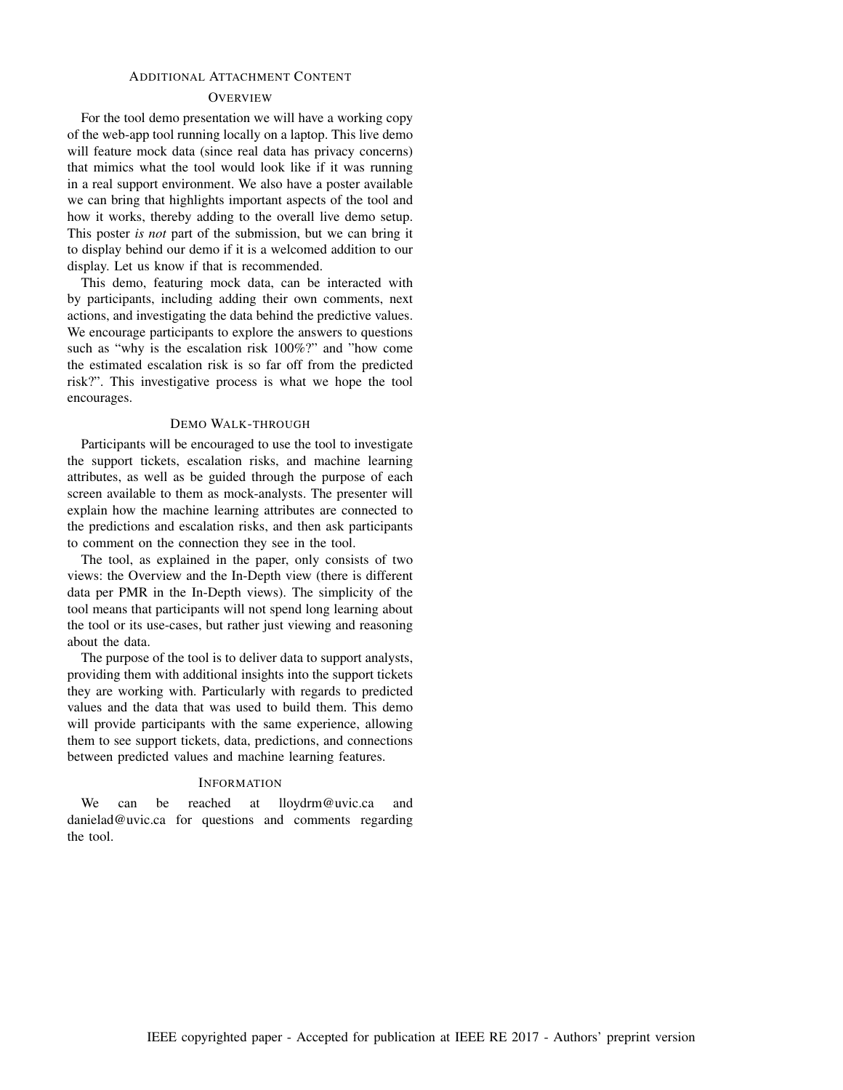# ADDITIONAL ATTACHMENT CONTENT

# **OVERVIEW**

For the tool demo presentation we will have a working copy of the web-app tool running locally on a laptop. This live demo will feature mock data (since real data has privacy concerns) that mimics what the tool would look like if it was running in a real support environment. We also have a poster available we can bring that highlights important aspects of the tool and how it works, thereby adding to the overall live demo setup. This poster *is not* part of the submission, but we can bring it to display behind our demo if it is a welcomed addition to our display. Let us know if that is recommended.

This demo, featuring mock data, can be interacted with by participants, including adding their own comments, next actions, and investigating the data behind the predictive values. We encourage participants to explore the answers to questions such as "why is the escalation risk 100%?" and "how come the estimated escalation risk is so far off from the predicted risk?". This investigative process is what we hope the tool encourages.

# DEMO WALK-THROUGH

Participants will be encouraged to use the tool to investigate the support tickets, escalation risks, and machine learning attributes, as well as be guided through the purpose of each screen available to them as mock-analysts. The presenter will explain how the machine learning attributes are connected to the predictions and escalation risks, and then ask participants to comment on the connection they see in the tool.

The tool, as explained in the paper, only consists of two views: the Overview and the In-Depth view (there is different data per PMR in the In-Depth views). The simplicity of the tool means that participants will not spend long learning about the tool or its use-cases, but rather just viewing and reasoning about the data.

The purpose of the tool is to deliver data to support analysts, providing them with additional insights into the support tickets they are working with. Particularly with regards to predicted values and the data that was used to build them. This demo will provide participants with the same experience, allowing them to see support tickets, data, predictions, and connections between predicted values and machine learning features.

#### **INFORMATION**

We can be reached at lloydrm@uvic.ca and danielad@uvic.ca for questions and comments regarding the tool.